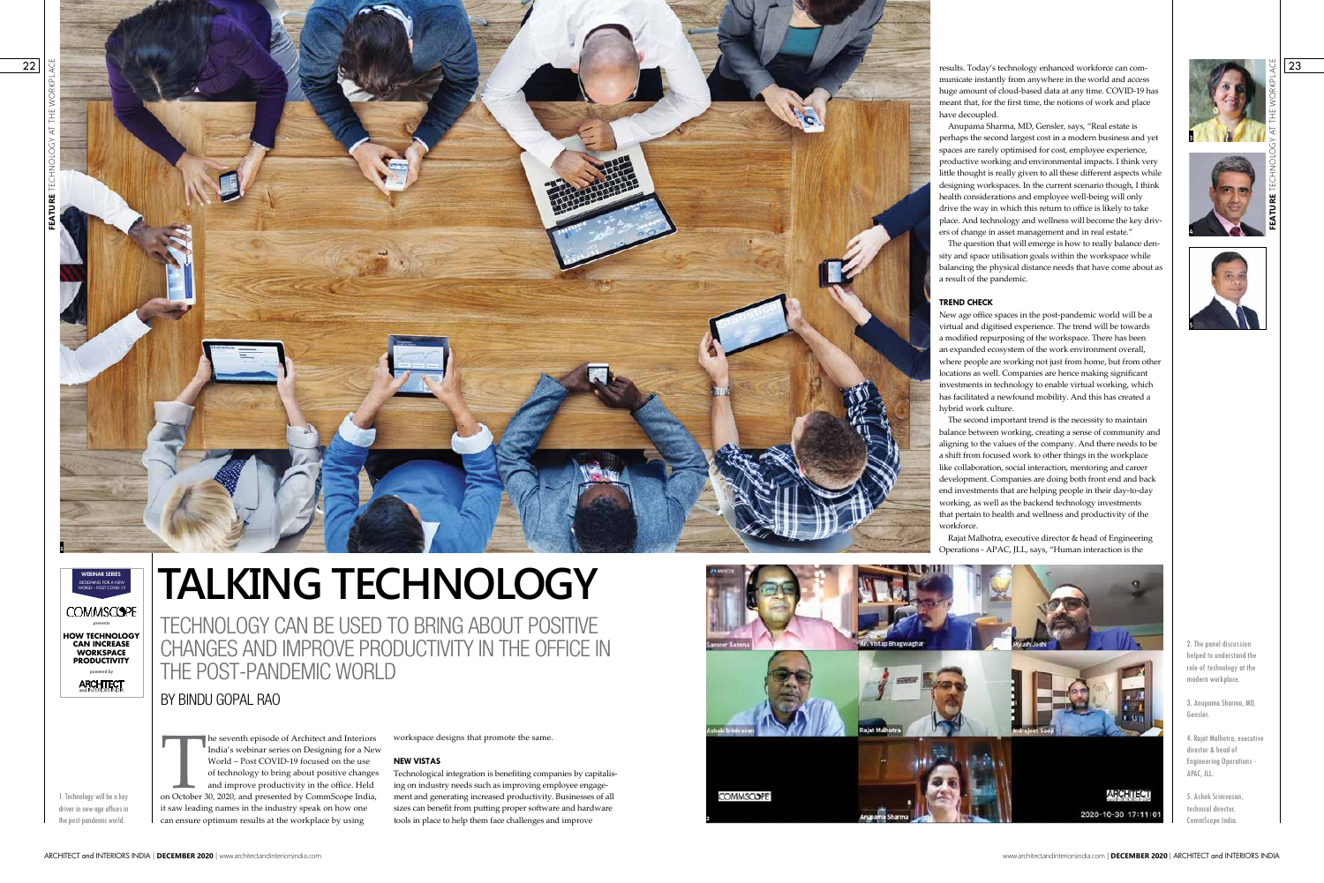# **TALKING TECHNOLOGY**



TECHNOLOGY CAN BE USED TO BRING ABOUT POSITIVE CHANGES AND IMPROVE PRODUCTIVITY IN THE OFFICE IN THE POST-PANDEMIC WORLD

BY BINDU GOPAL RAO

1. Technology will be a key driver in new age offices in the post-pandemic world.

The seventh episode of Architect and Interiors<br>
India's webinar series on Designing for a New<br>
World – Post COVID-19 focused on the use<br>
of technology to bring about positive changes<br>
and improve productivity in the office India's webinar series on Designing for a New World – Post COVID-19 focused on the use of technology to bring about positive changes and improve productivity in the office. Held it saw leading names in the industry speak on how one can ensure optimum results at the workplace by using

workspace designs that promote the same.

## **NEW VISTAS**

Technological integration is benefiting companies by capitalis ing on industry needs such as improving employee engage ment and generating increased productivity. Businesses of all sizes can benefit from putting proper software and hardware tools in place to help them face challenges and improve



22

**COMMSCOPE** presents **HOW TECHNOLOGY CAN INCREASE WORKSPACE PRODUCTIVITY** powered by **ARCHITECT** 

23

2. The panel discussion helped to understand the role of technology at the modern workplace.

3. Anupama Sharma, MD, Gensler.

4. Rajat Malhotra, executive director & head of Engineering Operations - APAC, JLL.

5. Ashok Srinivasan, technical director, CommScope India.

results. Today's technology enhanced workforce can com municate instantly from anywhere in the world and access huge amount of cloud-based data at any time. COVID-19 has meant that, for the first time, the notions of work and place have decoupled.

Anupama Sharma, MD, Gensler, says, "Real estate is perhaps the second largest cost in a modern business and yet spaces are rarely optimised for cost, employee experience, productive working and environmental impacts. I think very little thought is really given to all these different aspects while designing workspaces. In the current scenario though, I think health considerations and employee well-being will only drive the way in which this return to office is likely to take place. And technology and wellness will become the key driv ers of change in asset management and in real estate."





The question that will emerge is how to really balance den sity and space utilisation goals within the workspace while balancing the physical distance needs that have come about as a result of the pandemic.

### **TREND CHECK**

New age office spaces in the post-pandemic world will be a virtual and digitised experience. The trend will be towards a modified repurposing of the workspace. There has been an expanded ecosystem of the work environment overall, where people are working not just from home, but from other locations as well. Companies are hence making significant investments in technology to enable virtual working, which has facilitated a newfound mobility. And this has created a hybrid work culture.

The second important trend is the necessity to maintain balance between working, creating a sense of community and aligning to the values of the company. And there needs to be a shift from focused work to other things in the workplace like collaboration, social interaction, mentoring and career development. Companies are doing both front end and back end investments that are helping people in their day-to-day working, as well as the backend technology investments that pertain to health and wellness and productivity of the workforce.

Rajat Malhotra, executive director & head of Engineering Operations - APAC, JLL, says, "Human interaction is the